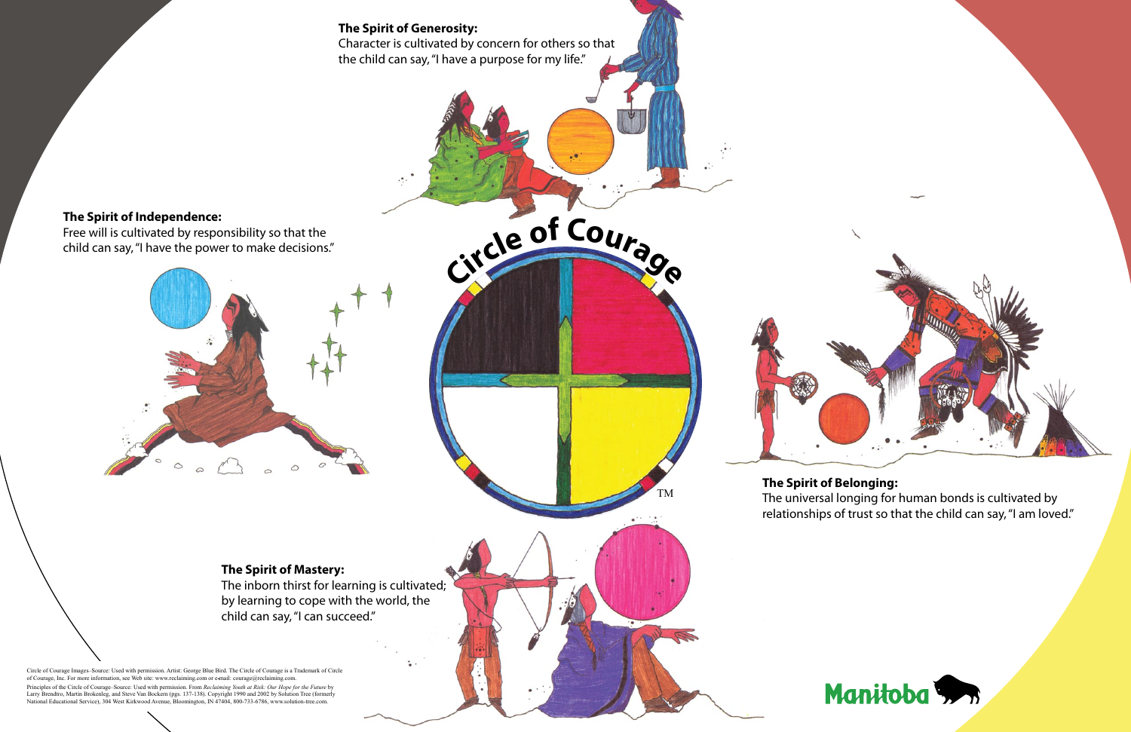## **The Spirit of Belonging:**

The universal longing for human bonds is cultivated by relationships of trust so that the child can say, "I am loved."



child can say, "I can succeed."



Circle of Courage Images–Source: Used with permission. Artist: George Blue Bird. The Circle of Courage is a Trademark of Circle of Courage, Inc. For more information, see Web site: www.reclaiming.com or e mail: courage@reclaiming.com. Principles of the Circle of Courage–Source: Used with permission. From *Reclaiming Youth at Risk: Our Hope for the Future* by

Larry Brendtro, Martin Brokenleg, and Steve Van Bockern (pgs. 137-138). Copyright 1990 and 2002 by Solution Tree (formerly National Educational Service), 304 West Kirkwood Avenue, Bloomington, IN 47404, 800-733-6786, www.solution-tree.com.